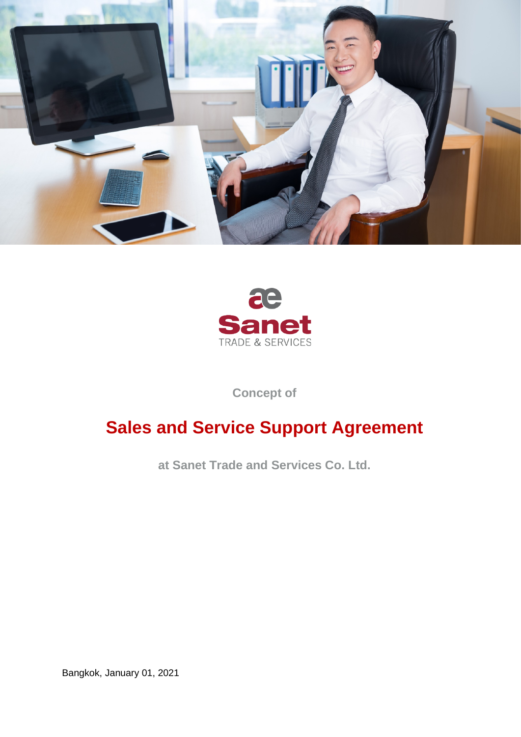



**Concept of**

# **Sales and Service Support Agreement**

**at Sanet Trade and Services Co. Ltd.**

Bangkok, January 01, 2021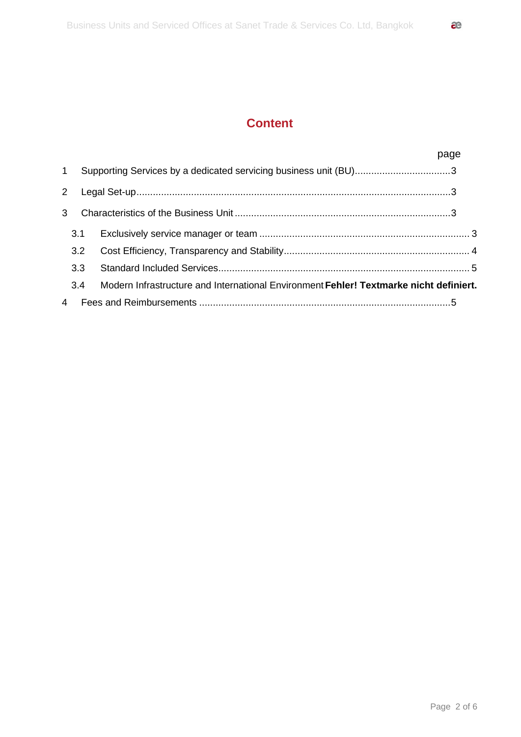|                       |     |                                                                                        | page |  |
|-----------------------|-----|----------------------------------------------------------------------------------------|------|--|
| $\mathbf{1}$          |     | Supporting Services by a dedicated servicing business unit (BU)3                       |      |  |
| $\mathbf{2}^{\prime}$ |     |                                                                                        |      |  |
| 3                     |     |                                                                                        |      |  |
|                       | 3.1 |                                                                                        |      |  |
|                       | 3.2 |                                                                                        |      |  |
|                       | 3.3 |                                                                                        |      |  |
|                       | 3.4 | Modern Infrastructure and International Environment Fehler! Textmarke nicht definiert. |      |  |
| 4                     |     |                                                                                        |      |  |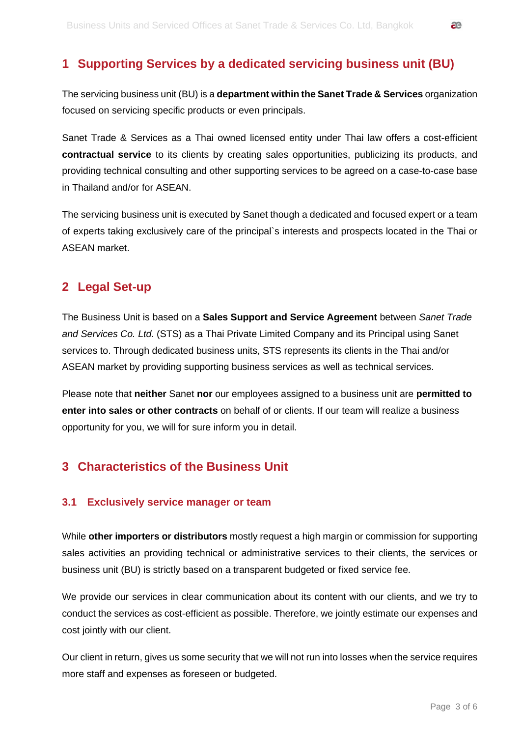## <span id="page-2-0"></span>**1 Supporting Services by a dedicated servicing business unit (BU)**

The servicing business unit (BU) is a **department within the Sanet Trade & Services** organization focused on servicing specific products or even principals.

Sanet Trade & Services as a Thai owned licensed entity under Thai law offers a cost-efficient **contractual service** to its clients by creating sales opportunities, publicizing its products, and providing technical consulting and other supporting services to be agreed on a case-to-case base in Thailand and/or for ASEAN.

The servicing business unit is executed by Sanet though a dedicated and focused expert or a team of experts taking exclusively care of the principal`s interests and prospects located in the Thai or ASEAN market.

## <span id="page-2-1"></span>**2 Legal Set-up**

The Business Unit is based on a **Sales Support and Service Agreement** between *Sanet Trade and Services Co. Ltd.* (STS) as a Thai Private Limited Company and its Principal using Sanet services to. Through dedicated business units, STS represents its clients in the Thai and/or ASEAN market by providing supporting business services as well as technical services.

Please note that **neither** Sanet **nor** our employees assigned to a business unit are **permitted to enter into sales or other contracts** on behalf of or clients. If our team will realize a business opportunity for you, we will for sure inform you in detail.

## <span id="page-2-2"></span>**3 Characteristics of the Business Unit**

#### <span id="page-2-3"></span>**3.1 Exclusively service manager or team**

While **other importers or distributors** mostly request a high margin or commission for supporting sales activities an providing technical or administrative services to their clients, the services or business unit (BU) is strictly based on a transparent budgeted or fixed service fee.

We provide our services in clear communication about its content with our clients, and we try to conduct the services as cost-efficient as possible. Therefore, we jointly estimate our expenses and cost jointly with our client.

Our client in return, gives us some security that we will not run into losses when the service requires more staff and expenses as foreseen or budgeted.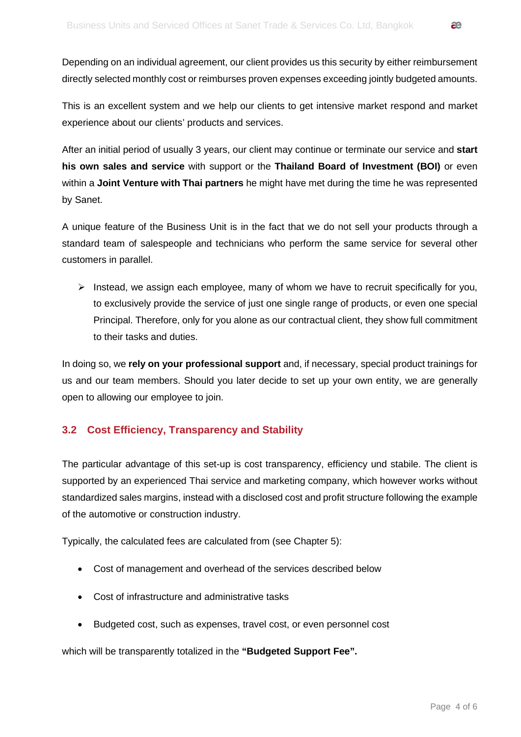Depending on an individual agreement, our client provides us this security by either reimbursement directly selected monthly cost or reimburses proven expenses exceeding jointly budgeted amounts.

This is an excellent system and we help our clients to get intensive market respond and market experience about our clients' products and services.

After an initial period of usually 3 years, our client may continue or terminate our service and **start his own sales and service** with support or the **Thailand Board of Investment (BOI)** or even within a **Joint Venture with Thai partners** he might have met during the time he was represented by Sanet.

A unique feature of the Business Unit is in the fact that we do not sell your products through a standard team of salespeople and technicians who perform the same service for several other customers in parallel.

 $\triangleright$  Instead, we assign each employee, many of whom we have to recruit specifically for you, to exclusively provide the service of just one single range of products, or even one special Principal. Therefore, only for you alone as our contractual client, they show full commitment to their tasks and duties.

In doing so, we **rely on your professional support** and, if necessary, special product trainings for us and our team members. Should you later decide to set up your own entity, we are generally open to allowing our employee to join.

#### <span id="page-3-0"></span>**3.2 Cost Efficiency, Transparency and Stability**

The particular advantage of this set-up is cost transparency, efficiency und stabile. The client is supported by an experienced Thai service and marketing company, which however works without standardized sales margins, instead with a disclosed cost and profit structure following the example of the automotive or construction industry.

Typically, the calculated fees are calculated from (see Chapter 5):

- Cost of management and overhead of the services described below
- Cost of infrastructure and administrative tasks
- Budgeted cost, such as expenses, travel cost, or even personnel cost

which will be transparently totalized in the **"Budgeted Support Fee".**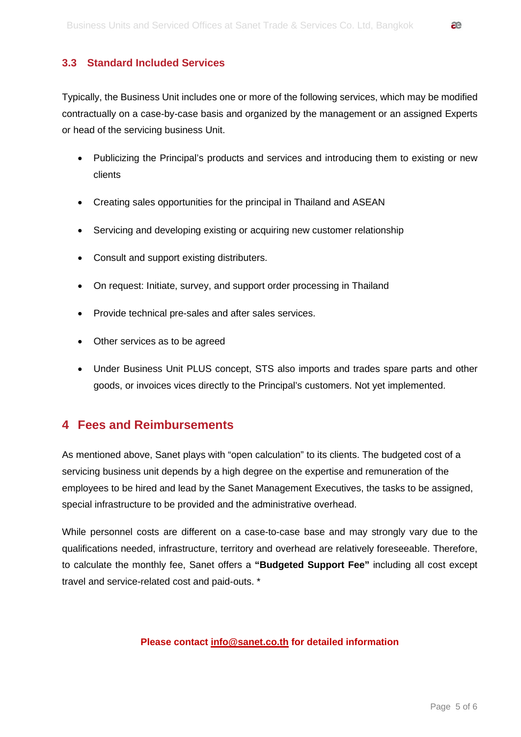#### <span id="page-4-0"></span>**3.3 Standard Included Services**

Typically, the Business Unit includes one or more of the following services, which may be modified contractually on a case-by-case basis and organized by the management or an assigned Experts or head of the servicing business Unit.

- Publicizing the Principal's products and services and introducing them to existing or new clients
- Creating sales opportunities for the principal in Thailand and ASEAN
- Servicing and developing existing or acquiring new customer relationship
- Consult and support existing distributers.
- On request: Initiate, survey, and support order processing in Thailand
- Provide technical pre-sales and after sales services.
- Other services as to be agreed
- Under Business Unit PLUS concept, STS also imports and trades spare parts and other goods, or invoices vices directly to the Principal's customers. Not yet implemented.

### <span id="page-4-1"></span>**4 Fees and Reimbursements**

As mentioned above, Sanet plays with "open calculation" to its clients. The budgeted cost of a servicing business unit depends by a high degree on the expertise and remuneration of the employees to be hired and lead by the Sanet Management Executives, the tasks to be assigned, special infrastructure to be provided and the administrative overhead.

While personnel costs are different on a case-to-case base and may strongly vary due to the qualifications needed, infrastructure, territory and overhead are relatively foreseeable. Therefore, to calculate the monthly fee, Sanet offers a **"Budgeted Support Fee"** including all cost except travel and service-related cost and paid-outs. \*

#### **Please contact [info@sanet.co.th](mailto:info@sanet.co.th) for detailed information**